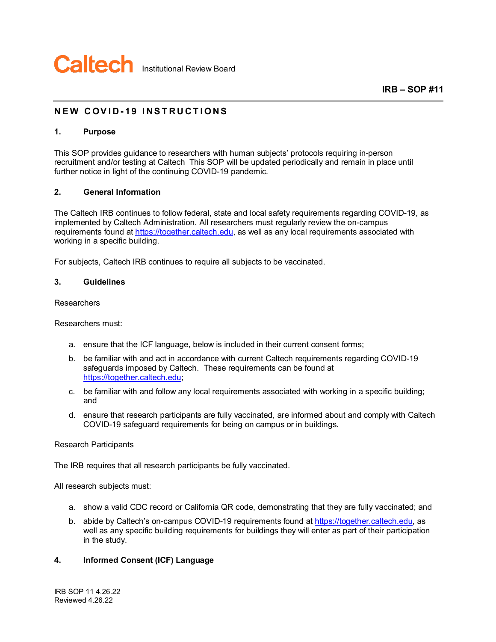

# **NEW COVID - 19 INSTRUC TIONS**

# **1. Purpose**

This SOP provides guidance to researchers with human subjects' protocols requiring in-person recruitment and/or testing at Caltech This SOP will be updated periodically and remain in place until further notice in light of the continuing COVID-19 pandemic.

### **2. General Information**

The Caltech IRB continues to follow federal, state and local safety requirements regarding COVID-19, as implemented by Caltech Administration. All researchers must regularly review the on-campus requirements found at [https://together.caltech.edu,](https://together.caltech.edu/) as well as any local requirements associated with working in a specific building.

For subjects, Caltech IRB continues to require all subjects to be vaccinated.

#### **3. Guidelines**

## **Researchers**

Researchers must:

- a. ensure that the ICF language, below is included in their current consent forms;
- b. be familiar with and act in accordance with current Caltech requirements regarding COVID-19 safeguards imposed by Caltech. These requirements can be found at [https://together.caltech.edu;](https://together.caltech.edu/)
- c. be familiar with and follow any local requirements associated with working in a specific building; and
- d. ensure that research participants are fully vaccinated, are informed about and comply with Caltech COVID-19 safeguard requirements for being on campus or in buildings.

#### Research Participants

The IRB requires that all research participants be fully vaccinated.

All research subjects must:

- a. show a valid CDC record or California QR code, demonstrating that they are fully vaccinated; and
- b. abide by Caltech's on-campus COVID-19 requirements found a[t https://together.caltech.edu,](https://together.caltech.edu/) as well as any specific building requirements for buildings they will enter as part of their participation in the study.

# **4. Informed Consent (ICF) Language**

IRB SOP 11 4.26.22 Reviewed 4.26.22